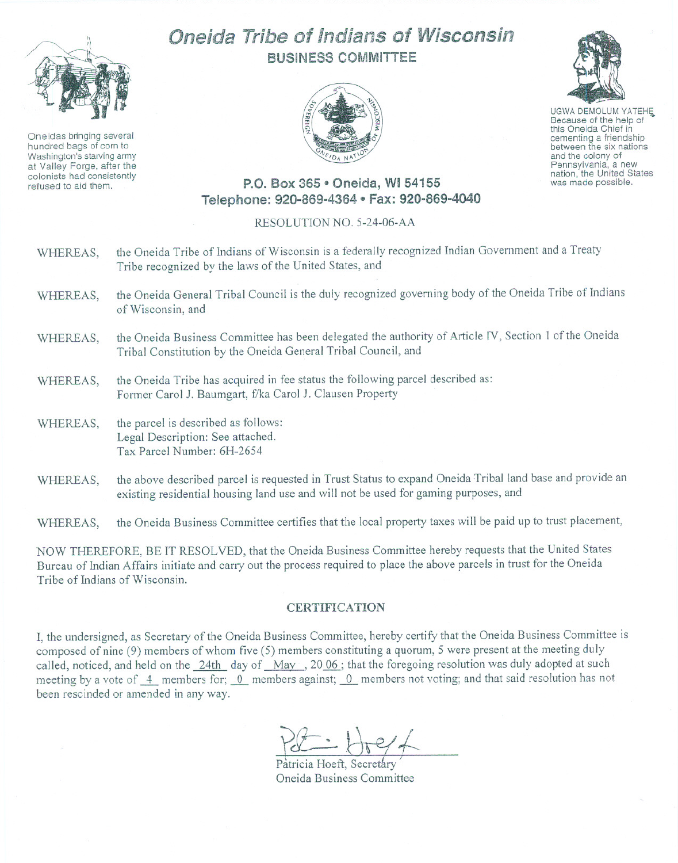

Oneidas bringing several hundred bags of corn to Washington's starving army at Valley Forge, after the colonists had consistently refused to aid them.

## Oneida Tribe of Indians of Wisconsin BUSINESS COMMITTEE



UGWA DEMOLUM YATEHE<br>Because of the help of this Oneida Chief in<br>cementing a friendship between the six nations and the colony of<br>Pennsylvania, a new nation, the United States was made possible.

## P.O. Box 365 · Oneida, WI 54155 Telephone: 920-869-4364 e Fax: 920-869-4040

## RESOLUTION NO. 5-24-06-AA

- WHEREAS, the Oneida Tribe of Indians of Wisconsin is a federally recognized Indian Government and a Treaty Tribe recognized by the laws of the United States, and
- WHEREAS, the Oneida General Tribal Council is the duly recognized governing body of the Oneida Tribe of Indians of Wisconsin, and
- WHEREAS, the Oneida Business Committee has been delegated the authority of Article IV, Section I of the Oneida Tribal Constitution by the Oneida General Tribal Council, and
- WHEREAS, the Oneida Tribe has acquired in fee status the following parcel described as: Former Carol J. Baumgart, f/ka Carol J. Clausen Property
- WHEREAS, the parcel is described as follows: Legal Description: See attached. Tax Parcel Number: 6H-2654
- WHEREAS, the above described parcel is requested in Trust Status to expand Oneida Tribal land base and provide an existing residential housing land use and will not be used for gaming purposes, and

WHEREAS, the Oneida Business Committee certifies that the local property taxes will be paid up to trust placement,

NOW THEREFORE, BE IT RESOLVED, that the Oneida Business Committee hereby requests that the United States Bureau of Indian Affairs initiate and carry out the process required to place the above parcels in trust for the Oneida Tribe of Indians of Wisconsin.

## **CERTIFICATION**

I, the undersigned, as Secretary of the Oneida Business Committee, hereby certify that the Oneida Business Committee is composed of nine (9) members of whom five (5) members constituting a quorum, 5 were present at the meeting duly called, noticed, and held on the 24th day of May, 2006; that the foregoing resolution was duly adopted at such meeting by a vote of  $-4$  members for;  $0$  members against;  $0$  members not voting; and that said resolution has not been rescinded or amended in any way.

 $P2 - H2/$ 

Patricia Hoeft, Secretary Oneida Business Committee